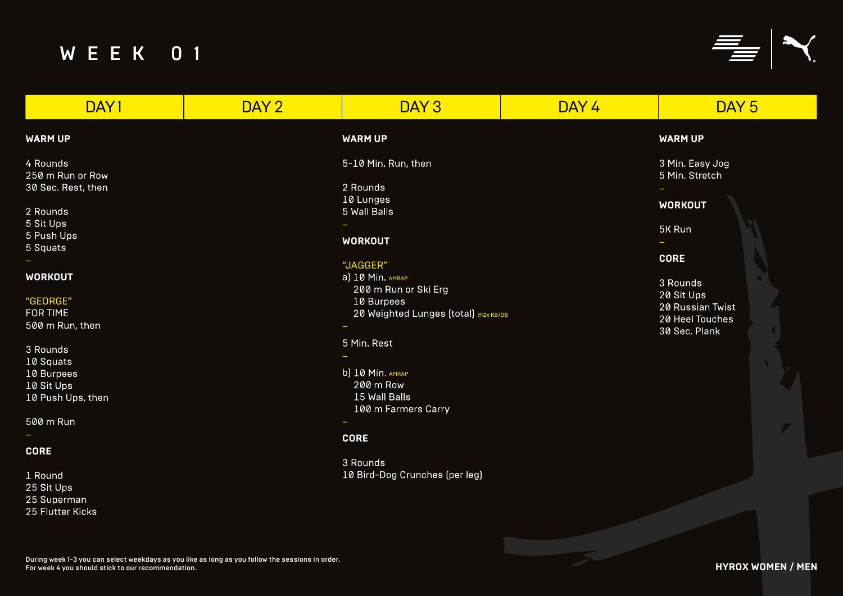| DAY1                    | DAY <sub>2</sub> | DAY <sub>3</sub>                     | DAY 4 | DAY <sub>5</sub>                    |
|-------------------------|------------------|--------------------------------------|-------|-------------------------------------|
| <b>WARM UP</b>          |                  | <b>WARM UP</b>                       |       | <b>WARM UP</b>                      |
| 4 Rounds                |                  | 5-10 Min. Run, then                  |       | 3 Min. Easy Jog                     |
| 250 m Run or Row        |                  |                                      |       | 5 Min. Stretch                      |
| 30 Sec. Rest, then      |                  | 2 Rounds                             |       |                                     |
| 2 Rounds                |                  | 10 Lunges<br>5 Wall Balls            |       | <b>WORKOUT</b>                      |
| 5 Sit Ups               |                  |                                      |       |                                     |
| 5 Push Ups              |                  |                                      |       | 5K Run                              |
| 5 Squats                |                  | <b>WORKOUT</b>                       |       | ÷.                                  |
|                         |                  | "JAGGER"                             |       | <b>CORE</b>                         |
| <b>WORKOUT</b>          |                  | a) 10 Min. AMRAP                     |       |                                     |
|                         |                  | 200 m Run or Ski Erg                 |       | 3 Rounds                            |
| "GEORGE"                |                  | 10 Burpees                           |       | 20 Sit Ups                          |
| <b>FOR TIME</b>         |                  | 20 Weighted Lunges (total) @2x KB/DB |       | 20 Russian Twist<br>20 Heel Touches |
| 500 m Run, then         |                  |                                      |       | 30 Sec. Plank                       |
|                         |                  | 5 Min. Rest                          |       |                                     |
| 3 Rounds                |                  |                                      |       |                                     |
| 10 Squats<br>10 Burpees |                  | b) 10 Min. AMRAP                     |       |                                     |
| 10 Sit Ups              |                  | 200 m Row                            |       |                                     |
| 10 Push Ups, then       |                  | 15 Wall Balls                        |       |                                     |
|                         |                  | 100 m Farmers Carry                  |       |                                     |
| 500 m Run               |                  |                                      |       |                                     |
|                         |                  | <b>CORE</b>                          |       |                                     |
| <b>CORE</b>             |                  |                                      |       |                                     |
|                         |                  | 3 Rounds                             |       |                                     |
| 1 Round                 |                  | 10 Bird-Dog Crunches (per leg)       |       |                                     |
| 25 Sit Ups              |                  |                                      |       |                                     |
| 25 Superman             |                  |                                      |       |                                     |

25 Flutter Kicks

# **WARM UP**

# **WORKOUT**

## **CORE**

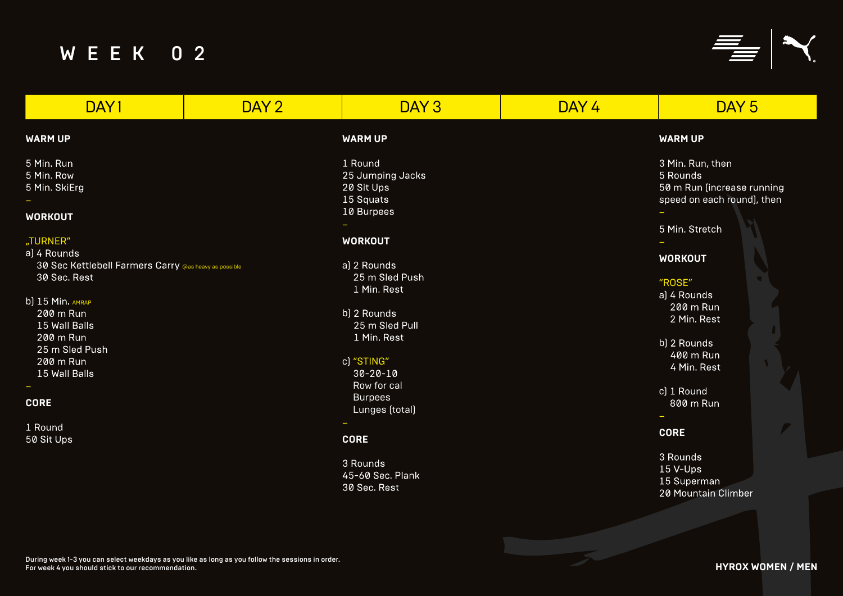3 Min. Run, then 5 Rounds 50 m Run (increase running speed on each round), then

## **WARM UP**

- a) 4 Rounds<br>200 m Run 2 Min. Rest
- b) 2 Rounds 400 m Run 4 Min. Rest
- c) 1 Round 800 m Run

# **WORKOUT**

### "ROSE"

# **CORE**





| DAY1                                                                                                                                                                                                                                                    | DAY 2 | DAY 3                                                                                                                                                                                                                                                            | DAY 4 | DAY <sub>5</sub>                                                                                                                                                                                                                              |
|---------------------------------------------------------------------------------------------------------------------------------------------------------------------------------------------------------------------------------------------------------|-------|------------------------------------------------------------------------------------------------------------------------------------------------------------------------------------------------------------------------------------------------------------------|-------|-----------------------------------------------------------------------------------------------------------------------------------------------------------------------------------------------------------------------------------------------|
| <b>WARM UP</b>                                                                                                                                                                                                                                          |       | <b>WARM UP</b>                                                                                                                                                                                                                                                   |       | <b>WARM UP</b>                                                                                                                                                                                                                                |
| 5 Min. Run<br>5 Min. Row<br>5 Min. SkiErg<br><b>WORKOUT</b>                                                                                                                                                                                             |       | 1 Round<br>25 Jumping Jacks<br>20 Sit Ups<br>15 Squats<br>10 Burpees                                                                                                                                                                                             |       | 3 Min. Run, then<br>5 Rounds<br>50 m Run (increase ru<br>speed on each round),                                                                                                                                                                |
| "TURNER"<br>a) 4 Rounds<br>30 Sec Kettlebell Farmers Carry @as heavy as possible<br>30 Sec. Rest<br>b) 15 Min. AMRAP<br>200 m Run<br>15 Wall Balls<br>200 m Run<br>25 m Sled Push<br>200 m Run<br>15 Wall Balls<br><b>CORE</b><br>1 Round<br>50 Sit Ups |       | <b>WORKOUT</b><br>a) 2 Rounds<br>25 m Sled Push<br>1 Min. Rest<br>b) 2 Rounds<br>25 m Sled Pull<br>1 Min. Rest<br>c) "STING"<br>$30 - 20 - 10$<br>Row for cal<br><b>Burpees</b><br>Lunges (total)<br><b>CORE</b><br>3 Rounds<br>45-60 Sec. Plank<br>30 Sec. Rest |       | 5 Min. Stretch<br><b>WORKOUT</b><br>"ROSE"<br>a) 4 Rounds<br>200 m Run<br>2 Min. Rest<br>b) 2 Rounds<br>400 m Run<br>4 Min. Rest<br>c) 1 Round<br>800 m Run<br>-<br><b>CORE</b><br>3 Rounds<br>15 V-Ups<br>15 Superman<br>20 Mountain Climber |
|                                                                                                                                                                                                                                                         |       |                                                                                                                                                                                                                                                                  |       |                                                                                                                                                                                                                                               |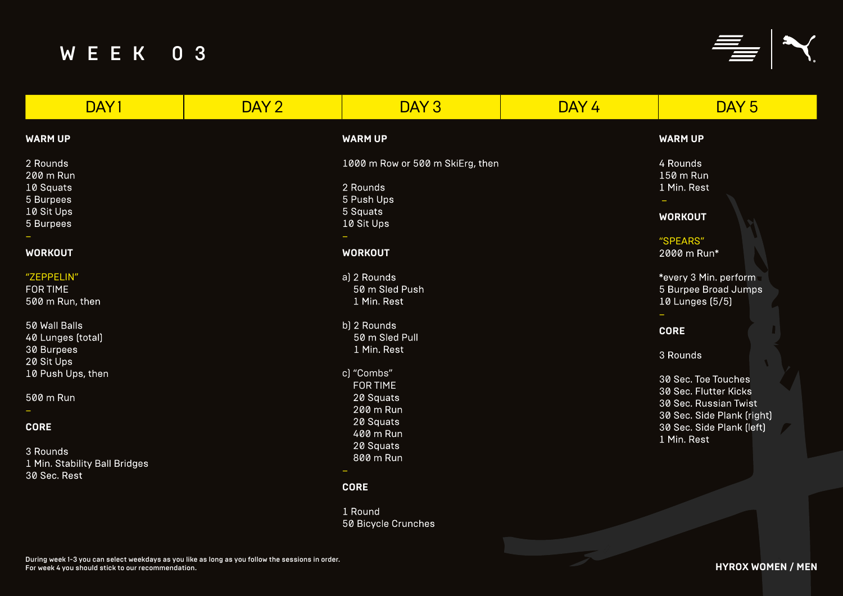## "SPEARS" 2000 m Run\*

\*every 3 Min. perform 5 Burpee Broad Jumps 10 Lunges (5/5)

## **WARM UP**

| DAY1                                                                                                                   | DAY 2 | DAY <sub>3</sub>                                                                                                                        | DAY 4 | DAY <sub>5</sub>                                                                                                                  |
|------------------------------------------------------------------------------------------------------------------------|-------|-----------------------------------------------------------------------------------------------------------------------------------------|-------|-----------------------------------------------------------------------------------------------------------------------------------|
| <b>WARM UP</b>                                                                                                         |       | <b>WARM UP</b>                                                                                                                          |       | <b>WARM UP</b>                                                                                                                    |
| 2 Rounds<br>200 m Run<br>10 Squats<br>5 Burpees<br>10 Sit Ups<br>5 Burpees<br><b>WORKOUT</b><br>"ZEPPELIN"<br>FOR TIME |       | 1000 m Row or 500 m SkiErg, then<br>2 Rounds<br>5 Push Ups<br>5 Squats<br>10 Sit Ups<br><b>WORKOUT</b><br>a) 2 Rounds<br>50 m Sled Push |       | 4 Rounds<br>150 m Run<br>1 Min. Rest<br><b>WORKOUT</b><br>"SPEARS"<br>2000 m Run*<br>*every 3 Min. perform<br>5 Burpee Broad Jump |
| 500 m Run, then<br>50 Wall Balls<br>40 Lunges (total)<br>30 Burpees<br>20 Sit Ups<br>10 Push Ups, then                 |       | 1 Min. Rest<br>b) 2 Rounds<br>50 m Sled Pull<br>1 Min. Rest<br>c) "Combs"                                                               |       | 10 Lunges (5/5)<br><b>CORE</b><br>3 Rounds<br>30 Sec. Toe Touches                                                                 |
| 500 m Run<br><b>CORE</b>                                                                                               |       | FOR TIME<br>20 Squats<br>200 m Run<br>20 Squats<br>400 m Run                                                                            |       | 30 Sec. Flutter Kicks<br>30 Sec. Russian Twist<br>30 Sec. Side Plank [rig<br>30 Sec. Side Plank [let<br>1 Min. Rest               |
| 3 Rounds<br>1 Min. Stability Ball Bridges<br>30 Sec. Rest                                                              |       | 20 Squats<br>800 m Run<br><b>CORE</b>                                                                                                   |       |                                                                                                                                   |
|                                                                                                                        |       | 1 Round<br>50 Bicycle Crunches                                                                                                          |       |                                                                                                                                   |

## **WORKOUT**

# **CORE**

30 Sec. Toe Touches 30 Sec. Flutter Kicks 30 Sec. Russian Twist 30 Sec. Side Plank (right) 30 Sec. Side Plank (left) 1 Min. Rest